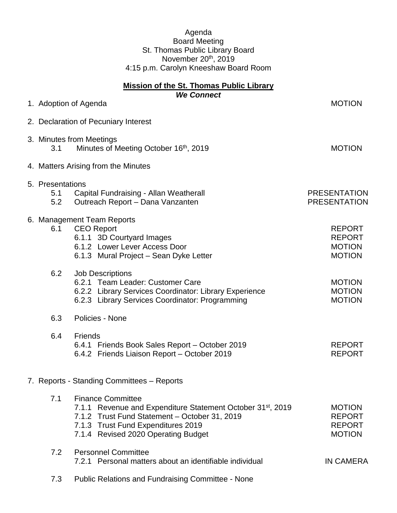## Agenda Board Meeting St. Thomas Public Library Board November 20<sup>th</sup>, 2019 4:15 p.m. Carolyn Kneeshaw Board Room

| <b>Mission of the St. Thomas Public Library</b><br><b>We Connect</b> |                                            |                                                                                                                                                                                                                                   |                                                                  |
|----------------------------------------------------------------------|--------------------------------------------|-----------------------------------------------------------------------------------------------------------------------------------------------------------------------------------------------------------------------------------|------------------------------------------------------------------|
|                                                                      |                                            | 1. Adoption of Agenda                                                                                                                                                                                                             | <b>MOTION</b>                                                    |
|                                                                      | 2. Declaration of Pecuniary Interest       |                                                                                                                                                                                                                                   |                                                                  |
|                                                                      | 3.1                                        | 3. Minutes from Meetings<br>Minutes of Meeting October 16th, 2019                                                                                                                                                                 | <b>MOTION</b>                                                    |
|                                                                      |                                            | 4. Matters Arising from the Minutes                                                                                                                                                                                               |                                                                  |
|                                                                      | 5. Presentations<br>5.1<br>5.2             | Capital Fundraising - Allan Weatherall<br>Outreach Report - Dana Vanzanten                                                                                                                                                        | <b>PRESENTATION</b><br><b>PRESENTATION</b>                       |
|                                                                      | 6.1                                        | 6. Management Team Reports<br><b>CEO Report</b><br>6.1.1 3D Courtyard Images<br>6.1.2 Lower Lever Access Door<br>6.1.3 Mural Project - Sean Dyke Letter                                                                           | <b>REPORT</b><br><b>REPORT</b><br><b>MOTION</b><br><b>MOTION</b> |
|                                                                      | 6.2                                        | <b>Job Descriptions</b><br>6.2.1 Team Leader: Customer Care<br>6.2.2 Library Services Coordinator: Library Experience<br>6.2.3 Library Services Coordinator: Programming                                                          | <b>MOTION</b><br><b>MOTION</b><br><b>MOTION</b>                  |
|                                                                      | 6.3                                        | Policies - None                                                                                                                                                                                                                   |                                                                  |
|                                                                      | 6.4                                        | Friends<br>6.4.1 Friends Book Sales Report - October 2019<br>6.4.2 Friends Liaison Report - October 2019                                                                                                                          | <b>REPORT</b><br><b>REPORT</b>                                   |
|                                                                      | 7. Reports - Standing Committees - Reports |                                                                                                                                                                                                                                   |                                                                  |
|                                                                      | 7.1                                        | <b>Finance Committee</b><br>7.1.1 Revenue and Expenditure Statement October 31 <sup>st</sup> , 2019<br>7.1.2 Trust Fund Statement - October 31, 2019<br>7.1.3 Trust Fund Expenditures 2019<br>7.1.4 Revised 2020 Operating Budget | <b>MOTION</b><br><b>REPORT</b><br><b>REPORT</b><br><b>MOTION</b> |
|                                                                      | 7.2                                        | <b>Personnel Committee</b><br>7.2.1 Personal matters about an identifiable individual                                                                                                                                             | <b>IN CAMERA</b>                                                 |
|                                                                      |                                            |                                                                                                                                                                                                                                   |                                                                  |

7.3 Public Relations and Fundraising Committee - None